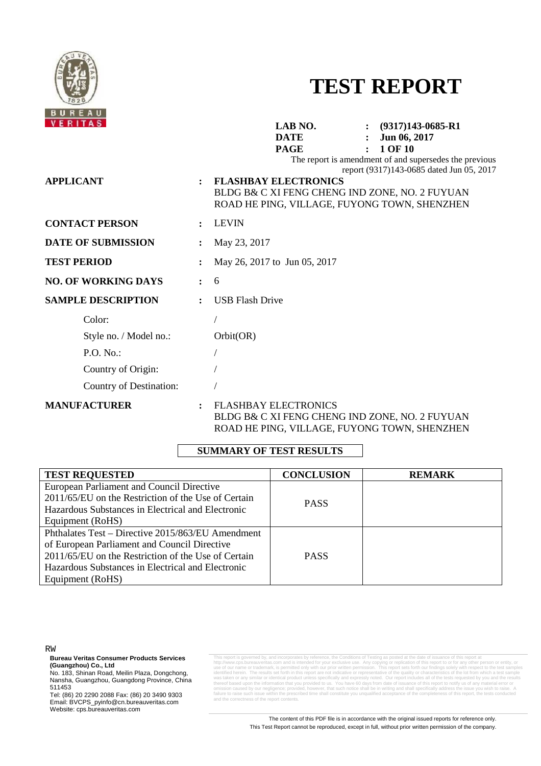

# **TEST REPORT**

| <b>VERITAS</b>             |                | LAB NO.<br>$\colon$ (9317)143-0685-R1<br><b>DATE</b><br>Jun 06, 2017<br>1 OF 10<br><b>PAGE</b>                                                                                                                                      |
|----------------------------|----------------|-------------------------------------------------------------------------------------------------------------------------------------------------------------------------------------------------------------------------------------|
| <b>APPLICANT</b>           |                | The report is amendment of and supersedes the previous<br>report (9317)143-0685 dated Jun 05, 2017<br><b>FLASHBAY ELECTRONICS</b><br>BLDG B& C XI FENG CHENG IND ZONE, NO. 2 FUYUAN<br>ROAD HE PING, VILLAGE, FUYONG TOWN, SHENZHEN |
| <b>CONTACT PERSON</b>      |                | <b>LEVIN</b>                                                                                                                                                                                                                        |
| <b>DATE OF SUBMISSION</b>  |                | May 23, 2017                                                                                                                                                                                                                        |
| <b>TEST PERIOD</b>         |                | May 26, 2017 to Jun 05, 2017                                                                                                                                                                                                        |
| <b>NO. OF WORKING DAYS</b> | $\ddot{\cdot}$ | 6                                                                                                                                                                                                                                   |
| <b>SAMPLE DESCRIPTION</b>  |                | <b>USB Flash Drive</b>                                                                                                                                                                                                              |
| Color:                     |                |                                                                                                                                                                                                                                     |
| Style no. / Model no.:     |                | Orbit(OR)                                                                                                                                                                                                                           |
| P.O. No.                   |                |                                                                                                                                                                                                                                     |
| Country of Origin:         |                |                                                                                                                                                                                                                                     |
| Country of Destination:    |                |                                                                                                                                                                                                                                     |
| <b>MANUFACTURER</b>        | $\ddot{\cdot}$ | <b>FLASHBAY ELECTRONICS</b><br>BLDG B& C XI FENG CHENG IND ZONE, NO. 2 FUYUAN<br>ROAD HE PING, VILLAGE, FUYONG TOWN, SHENZHEN                                                                                                       |

# **SUMMARY OF TEST RESULTS**

| <b>TEST REQUESTED</b>                               | <b>CONCLUSION</b> | <b>REMARK</b> |
|-----------------------------------------------------|-------------------|---------------|
| European Parliament and Council Directive           |                   |               |
| 2011/65/EU on the Restriction of the Use of Certain | <b>PASS</b>       |               |
| Hazardous Substances in Electrical and Electronic   |                   |               |
| Equipment (RoHS)                                    |                   |               |
| Phthalates Test – Directive 2015/863/EU Amendment   |                   |               |
| of European Parliament and Council Directive        |                   |               |
| 2011/65/EU on the Restriction of the Use of Certain | <b>PASS</b>       |               |
| Hazardous Substances in Electrical and Electronic   |                   |               |
| Equipment (RoHS)                                    |                   |               |

RW

**Bureau Veritas Consumer Products Services (Guangzhou) Co., Ltd** 

No. 183, Shinan Road, Meilin Plaza, Dongchong, Nansha, Guangzhou, Guangdong Province, China 511453

Tel: (86) 20 2290 2088 Fax: (86) 20 3490 9303 Email: BVCPS\_pyinfo@cn.bureauveritas.com Website: cps.bureauveritas.com

This report is governed by, and incorporates by reference, the Conditions of Testing as posted at the date of issuance of this report at http://www.cps.bureauveritas.com and is intended for your exclusive use. Any copying or replication of this report to or for any other person or entity, or<br>use of our name or trademark, is permitted only with our prior wri If the results set forth in this report are not indicative or representative of the quality or characteristics of the lot from which a test sample  $\alpha$  is the test sample of the test samples of the lot from which a test s was taken or any similar or identical product unless specifically and expressly noted. Our report includes all of the tests requested by you and the results thereof based upon the information that you provided to us. You have 60 days from date of issuance of this report to notify us of any material error or<br>omission caused by our negligence; provided, however, that such notice and the correctness of the report contents.

> The content of this PDF file is in accordance with the original issued reports for reference only. This Test Report cannot be reproduced, except in full, without prior written permission of the company.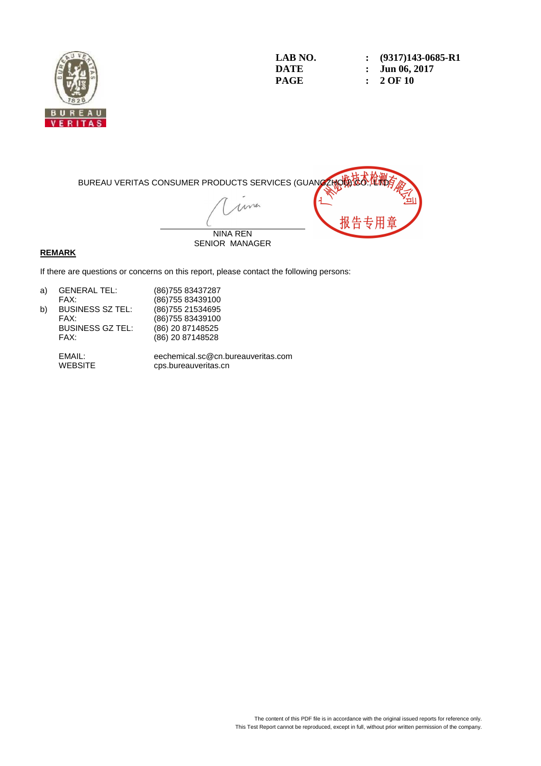

**LAB NO.** : (9317)143-0685-R1<br>DATE : Jun 06. 2017 **DATE : Jun 06, 2017**<br>**PAGE : 2 OF 10 PAGE : 2 OF 10** 



#### **REMARK**

If there are questions or concerns on this report, please contact the following persons:

| <b>GENERAL TEL:</b>     | (86) 755 83437287  |
|-------------------------|--------------------|
| FAX:                    | (86) 755 83439100  |
| <b>BUSINESS SZ TEL:</b> | (86) 755 21534 695 |
| FAX:                    | (86) 755 83439100  |
| <b>BUSINESS GZ TEL:</b> | (86) 20 87148525   |
| FAX:                    | (86) 20 87148528   |
|                         |                    |

 EMAIL: eechemical.sc@cn.bureauveritas.com cps.bureauveritas.cn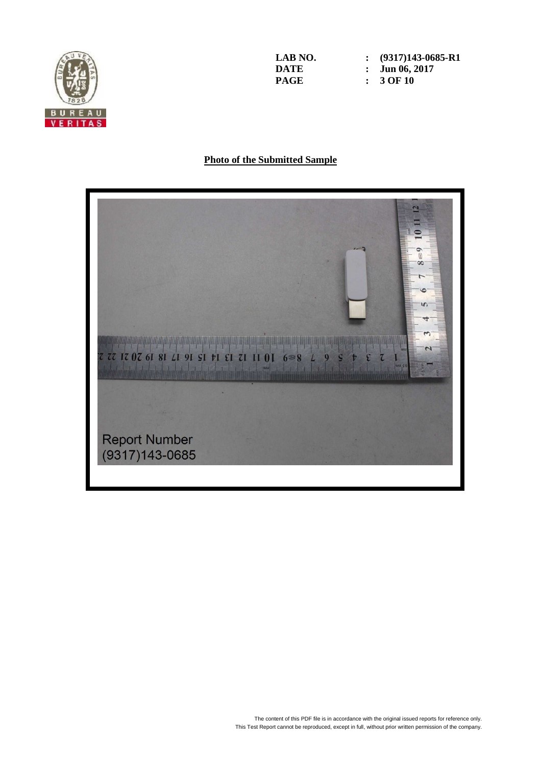

**LAB NO.** : (9317)143-0685-R1<br>DATE : Jun 06. 2017 **DATE : Jun 06, 2017**<br>**PAGE : 3 OF 10 PAGE : 3 OF 10** 

# **Photo of the Submitted Sample**

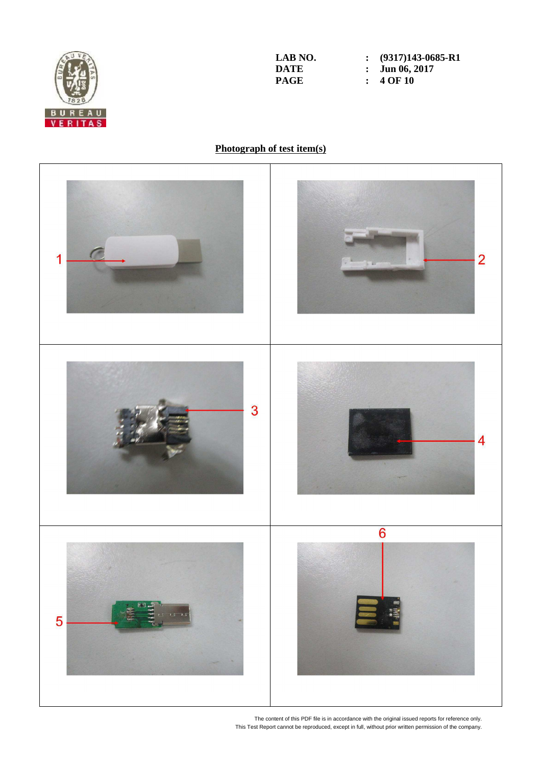

**LAB NO.** : (9317)143-0685-R1<br>DATE : Jun 06, 2017 **DATE : Jun 06, 2017**<br>**PAGE : 4 OF 10 PAGE : 4 OF 10** 

# **Photograph of test item(s)**



The content of this PDF file is in accordance with the original issued reports for reference only. This Test Report cannot be reproduced, except in full, without prior written permission of the company.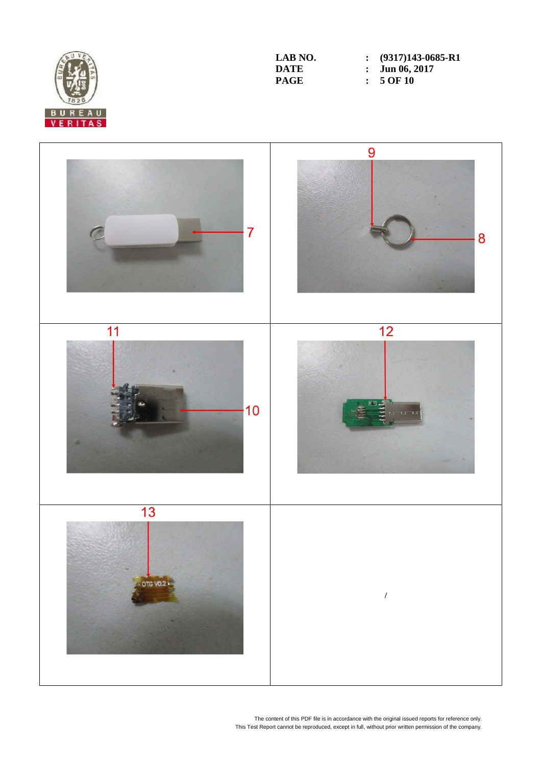

**LAB NO.** : (9317)143-0685-R1<br>DATE : Jun 06, 2017 **DATE : Jun 06, 2017**<br>**PAGE :** 5 OF 10 **PAGE : 5 OF 10** 



The content of this PDF file is in accordance with the original issued reports for reference only. This Test Report cannot be reproduced, except in full, without prior written permission of the company.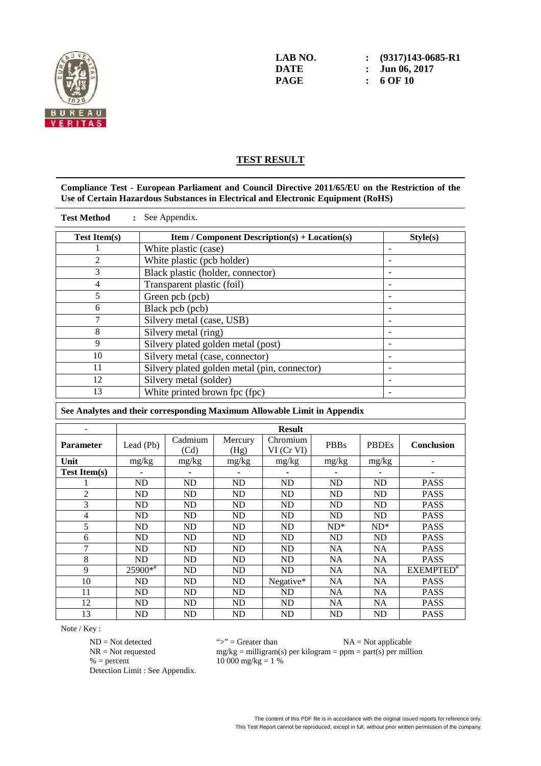

# **TEST RESULT**

#### **Compliance Test - European Parliament and Council Directive 2011/65/EU on the Restriction of the Use of Certain Hazardous Substances in Electrical and Electronic Equipment (RoHS)**

| <b>Test Method</b>  | : See Appendix.                                      |          |
|---------------------|------------------------------------------------------|----------|
| <b>Test Item(s)</b> | <b>Item / Component Description(s) + Location(s)</b> | Style(s) |
|                     | White plastic (case)                                 |          |
| 2                   | White plastic (pcb holder)                           |          |
| 3                   | Black plastic (holder, connector)                    |          |
| 4                   | Transparent plastic (foil)                           |          |
| 5                   | Green pcb (pcb)                                      |          |
| 6                   | Black pcb (pcb)                                      |          |
| 7                   | Silvery metal (case, USB)                            |          |
| 8                   | Silvery metal (ring)                                 |          |
| 9                   | Silvery plated golden metal (post)                   |          |
| 10                  | Silvery metal (case, connector)                      |          |
| 11                  | Silvery plated golden metal (pin, connector)         |          |
| 12                  | Silvery metal (solder)                               |          |
| 13                  | White printed brown fpc (fpc)                        |          |

| See Analytes and their corresponding Maximum Allowable Limit in Appendix |                |                 |                 |                        |             |              |                       |
|--------------------------------------------------------------------------|----------------|-----------------|-----------------|------------------------|-------------|--------------|-----------------------|
|                                                                          | <b>Result</b>  |                 |                 |                        |             |              |                       |
| <b>Parameter</b>                                                         | Lead $(Pb)$    | Cadmium<br>(Cd) | Mercury<br>(Hg) | Chromium<br>VI (Cr VI) | <b>PBBs</b> | <b>PBDEs</b> | Conclusion            |
| Unit                                                                     | mg/kg          | mg/kg           | mg/kg           | mg/kg                  | mg/kg       | mg/kg        |                       |
| <b>Test Item(s)</b>                                                      |                |                 |                 |                        |             |              |                       |
|                                                                          | ND             | ND              | ND              | ND                     | ND          | ND           | <b>PASS</b>           |
| $\overline{2}$                                                           | ND             | ND              | ND              | ND                     | ND          | ND           | <b>PASS</b>           |
| 3                                                                        | ND             | ND              | ND              | ND                     | ND          | ND           | <b>PASS</b>           |
| 4                                                                        | ND             | <b>ND</b>       | ND              | ND                     | ND          | ND           | <b>PASS</b>           |
| 5                                                                        | ND             | ND              | ND              | ND                     | $ND^*$      | $ND^*$       | <b>PASS</b>           |
| 6                                                                        | ND             | ND              | ND              | ND                     | ND          | ND           | <b>PASS</b>           |
| 7                                                                        | ND             | ND              | ND              | ND                     | NA          | NA           | <b>PASS</b>           |
| 8                                                                        | ND             | <b>ND</b>       | ND              | ND                     | <b>NA</b>   | NA.          | <b>PASS</b>           |
| $\mathbf{Q}$                                                             | $25900*$       | ND              | ND              | ND                     | NA          | NA.          | EXEMPTED <sup>#</sup> |
| 10                                                                       | ND             | ND              | ND              | Negative*              | NA          | NA.          | <b>PASS</b>           |
| 11                                                                       | ND             | <b>ND</b>       | ND              | <b>ND</b>              | <b>NA</b>   | NA           | <b>PASS</b>           |
| 12                                                                       | ND             | ND              | ND              | ND                     | NA          | <b>NA</b>    | <b>PASS</b>           |
| 13                                                                       | N <sub>D</sub> | ND              | ND              | ND                     | ND          | ND           | <b>PASS</b>           |

Note / Key :

% = percent  $10\,000\,\text{mg/kg} = 1\,\%$ Detection Limit : See Appendix.

 $ND = Not detected$ <br> $NR = Not requested$   $mg/kg = milligram(s)$  per kilogram = ppm = part(s) per milli  $mg/kg =$  milligram(s) per kilogram = ppm = part(s) per million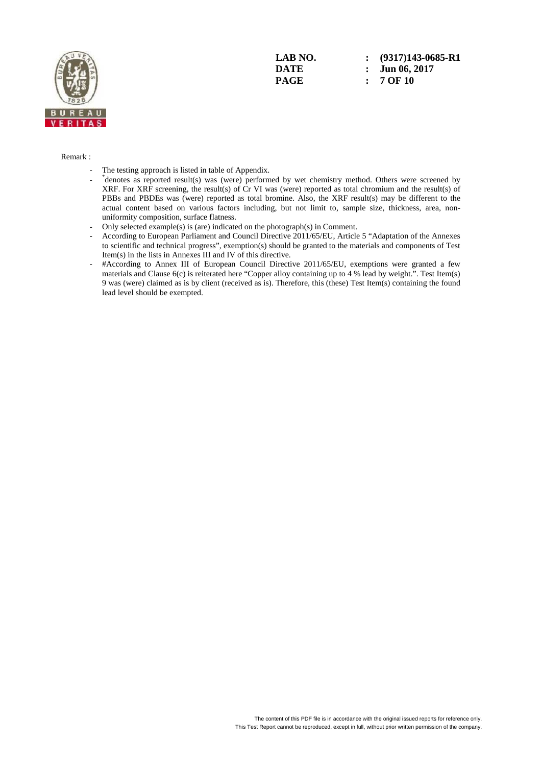

**LAB NO. : (9317)143-0685-R1 DATE : Jun 06, 2017 PAGE : 7 OF 10** 

#### Remark :

- The testing approach is listed in table of Appendix.
- $\sim$   $\sim$   $-$ \* denotes as reported result(s) was (were) performed by wet chemistry method. Others were screened by XRF. For XRF screening, the result(s) of Cr VI was (were) reported as total chromium and the result(s) of PBBs and PBDEs was (were) reported as total bromine. Also, the XRF result(s) may be different to the actual content based on various factors including, but not limit to, sample size, thickness, area, nonuniformity composition, surface flatness.
	- Only selected example(s) is (are) indicated on the photograph(s) in Comment.
	- According to European Parliament and Council Directive 2011/65/EU, Article 5 "Adaptation of the Annexes to scientific and technical progress", exemption(s) should be granted to the materials and components of Test Item(s) in the lists in Annexes III and IV of this directive.
	- #According to Annex III of European Council Directive 2011/65/EU, exemptions were granted a few materials and Clause 6(c) is reiterated here "Copper alloy containing up to 4 % lead by weight.". Test Item(s) 9 was (were) claimed as is by client (received as is). Therefore, this (these) Test Item(s) containing the found lead level should be exempted.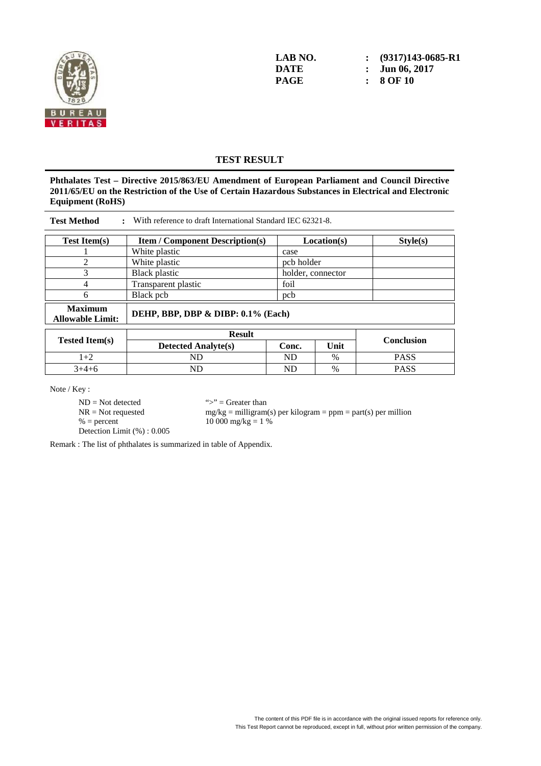

**LAB NO.** : (9317)143-0685-R1<br>DATE : Jun 06. 2017 **DATE : Jun 06, 2017 PAGE : 8 OF 10** 

### **TEST RESULT**

**Phthalates Test – Directive 2015/863/EU Amendment of European Parliament and Council Directive 2011/65/EU on the Restriction of the Use of Certain Hazardous Substances in Electrical and Electronic Equipment (RoHS)** 

| <b>Test Method</b><br>: With reference to draft International Standard IEC 62321-8. |                                                                   |            |               |                   |  |  |  |
|-------------------------------------------------------------------------------------|-------------------------------------------------------------------|------------|---------------|-------------------|--|--|--|
| <b>Test Item(s)</b>                                                                 | <b>Item / Component Description(s)</b><br>Location(s)<br>Style(s) |            |               |                   |  |  |  |
|                                                                                     | White plastic                                                     | case       |               |                   |  |  |  |
| $\overline{2}$                                                                      | White plastic                                                     | pcb holder |               |                   |  |  |  |
| 3                                                                                   | <b>Black plastic</b><br>holder, connector                         |            |               |                   |  |  |  |
| 4                                                                                   | Transparent plastic                                               | foil       |               |                   |  |  |  |
| 6                                                                                   | Black pcb                                                         | pcb        |               |                   |  |  |  |
| <b>Maximum</b><br><b>Allowable Limit:</b>                                           | DEHP, BBP, DBP & DIBP: 0.1% (Each)                                |            |               |                   |  |  |  |
|                                                                                     | <b>Result</b>                                                     |            |               |                   |  |  |  |
| <b>Tested Item(s)</b>                                                               | <b>Detected Analyte(s)</b>                                        | Conc.      | Unit          | <b>Conclusion</b> |  |  |  |
| $1+2$                                                                               | ND                                                                | ND         | $\%$          | <b>PASS</b>       |  |  |  |
| $3+4+6$                                                                             | <b>ND</b>                                                         | ND         | $\frac{0}{0}$ | <b>PASS</b>       |  |  |  |

Note / Key :

 $ND = Not detected$  ">" = Greater than<br>  $NR = Not$  requested  $mg/kg = milligram$  $% = percent$  10 000 mg/kg = 1 % Detection Limit (%) : 0.005

 $mg/kg =$  milligram(s) per kilogram = ppm = part(s) per million

Remark : The list of phthalates is summarized in table of Appendix.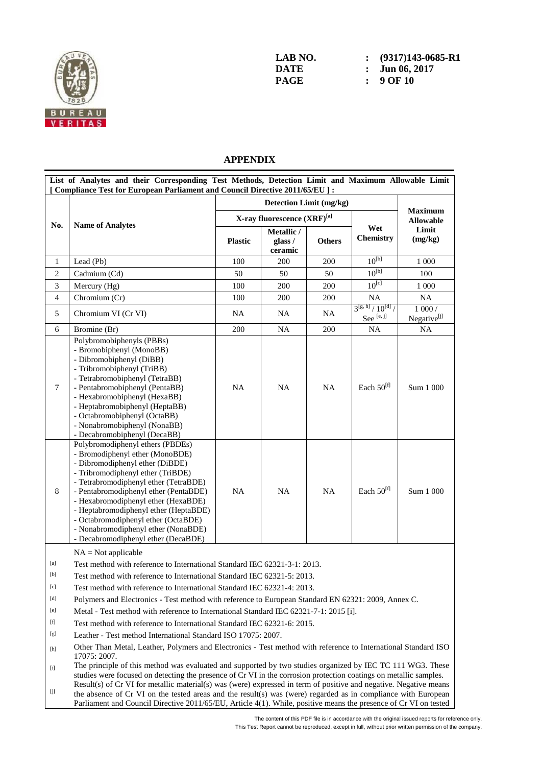

**LAB NO. : (9317)143-0685-R1 DATE : Jun 06, 2017 PAGE : 9 OF 10** 

# **APPENDIX**

| List of Analytes and their Corresponding Test Methods, Detection Limit and Maximum Allowable Limit<br>[ Compliance Test for European Parliament and Council Directive 2011/65/EU ] : |                                                                                                                                                                                                                                                                                                                                                                                                                                    |                |                                  |               |                                                        |                                    |  |
|--------------------------------------------------------------------------------------------------------------------------------------------------------------------------------------|------------------------------------------------------------------------------------------------------------------------------------------------------------------------------------------------------------------------------------------------------------------------------------------------------------------------------------------------------------------------------------------------------------------------------------|----------------|----------------------------------|---------------|--------------------------------------------------------|------------------------------------|--|
|                                                                                                                                                                                      |                                                                                                                                                                                                                                                                                                                                                                                                                                    |                |                                  |               |                                                        |                                    |  |
|                                                                                                                                                                                      |                                                                                                                                                                                                                                                                                                                                                                                                                                    |                | X-ray fluorescence (XRF)[a]      | Wet           | <b>Maximum</b><br><b>Allowable</b><br>Limit<br>(mg/kg) |                                    |  |
| No.                                                                                                                                                                                  | <b>Name of Analytes</b>                                                                                                                                                                                                                                                                                                                                                                                                            | <b>Plastic</b> | Metallic /<br>glass /<br>ceramic | <b>Others</b> |                                                        |                                    |  |
| $\mathbf{1}$                                                                                                                                                                         | Lead (Pb)                                                                                                                                                                                                                                                                                                                                                                                                                          | 100            | 200                              | 200           | $10^{[b]}$                                             | 1 000                              |  |
| $\overline{2}$                                                                                                                                                                       | Cadmium (Cd)                                                                                                                                                                                                                                                                                                                                                                                                                       | 50             | 50                               | 50            | $10^{[b]}$                                             | 100                                |  |
| 3                                                                                                                                                                                    | Mercury (Hg)                                                                                                                                                                                                                                                                                                                                                                                                                       | 100            | 200                              | 200           | $10^{[\overline{c}]}$                                  | 1 000                              |  |
| $\overline{4}$                                                                                                                                                                       | Chromium (Cr)                                                                                                                                                                                                                                                                                                                                                                                                                      | 100            | 200                              | 200           | <b>NA</b>                                              | <b>NA</b>                          |  |
| 5                                                                                                                                                                                    | Chromium VI (Cr VI)                                                                                                                                                                                                                                                                                                                                                                                                                | NA             | NA                               | <b>NA</b>     | $3^{[g, h]}/10^{[d]}/$<br>See $^{[e,\,j]}$             | $1000/$<br>Negative <sup>[j]</sup> |  |
| 6                                                                                                                                                                                    | Bromine (Br)                                                                                                                                                                                                                                                                                                                                                                                                                       | 200            | <b>NA</b>                        | 200           | <b>NA</b>                                              | NA                                 |  |
| $\overline{7}$                                                                                                                                                                       | Polybromobiphenyls (PBBs)<br>- Bromobiphenyl (MonoBB)<br>- Dibromobiphenyl (DiBB)<br>- Tribromobiphenyl (TriBB)<br>- Tetrabromobiphenyl (TetraBB)<br>- Pentabromobiphenyl (PentaBB)<br>- Hexabromobiphenyl (HexaBB)<br>- Heptabromobiphenyl (HeptaBB)<br>- Octabromobiphenyl (OctaBB)<br>- Nonabromobiphenyl (NonaBB)<br>- Decabromobiphenyl (DecaBB)                                                                              | NA             | NA                               | <b>NA</b>     | Each $50^{[f]}$                                        | Sum 1 000                          |  |
| 8                                                                                                                                                                                    | Polybromodiphenyl ethers (PBDEs)<br>- Bromodiphenyl ether (MonoBDE)<br>- Dibromodiphenyl ether (DiBDE)<br>- Tribromodiphenyl ether (TriBDE)<br>- Tetrabromodiphenyl ether (TetraBDE)<br>- Pentabromodiphenyl ether (PentaBDE)<br>- Hexabromodiphenyl ether (HexaBDE)<br>- Heptabromodiphenyl ether (HeptaBDE)<br>- Octabromodiphenyl ether (OctaBDE)<br>- Nonabromodiphenyl ether (NonaBDE)<br>- Decabromodiphenyl ether (DecaBDE) | <b>NA</b>      | <b>NA</b>                        | <b>NA</b>     | Each $50^{[f]}$                                        | Sum 1 000                          |  |

 $NA = Not applicable$ 

[a] Test method with reference to International Standard IEC 62321-3-1: 2013.

[b] Test method with reference to International Standard IEC 62321-5: 2013.

[c] Test method with reference to International Standard IEC 62321-4: 2013.

[d] Polymers and Electronics - Test method with reference to European Standard EN 62321: 2009, Annex C.

[e] Metal - Test method with reference to International Standard IEC 62321-7-1: 2015 [i].

[f] Test method with reference to International Standard IEC 62321-6: 2015.

[g] Leather - Test method International Standard ISO 17075: 2007.

[h] Other Than Metal, Leather, Polymers and Electronics - Test method with reference to International Standard ISO 17075: 2007.

[i] The principle of this method was evaluated and supported by two studies organized by IEC TC 111 WG3. These studies were focused on detecting the presence of  $\hat{C}r$  VI in the corrosion protection coatings on metallic samples. Result(s) of Cr VI for metallic material(s) was (were) expressed in term of positive and negative. Negative means

 $[j] % \begin{center} % \includegraphics[width=\linewidth]{imagesSupplemental_3.png} % \end{center} % \caption { % Our method is used for the method of the method. % Note that the \emph{Def}(i) and the \emph{Def}(i) are generated by the method of the method. % Note that the \emph{Def}(i) and the \emph{Def}(i) are generated by the method of the method. % Note that the \emph{Def}(i) and the \emph{Def}(i) are generated by the method of the method. % Note that the \emph{Def}(i) and the \emph{Def}(i) are generated by the method of the method. % Note that the \emph{Def}(i) and the \emph{Def}(i) are generated by the method of the method. % Note that the \emph{Def}(i) and the \emph{$ the absence of Cr VI on the tested areas and the result(s) was (were) regarded as in compliance with European Parliament and Council Directive 2011/65/EU, Article 4(1). While, positive means the presence of Cr VI on tested

The content of this PDF file is in accordance with the original issued reports for reference only.

This Test Report cannot be reproduced, except in full, without prior written permission of the company.